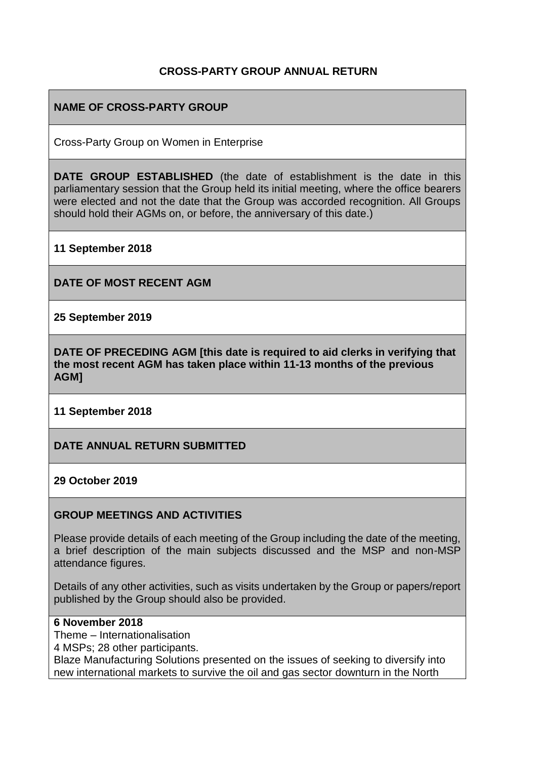### **CROSS-PARTY GROUP ANNUAL RETURN**

# **NAME OF CROSS-PARTY GROUP**

Cross-Party Group on Women in Enterprise

**DATE GROUP ESTABLISHED** (the date of establishment is the date in this parliamentary session that the Group held its initial meeting, where the office bearers were elected and not the date that the Group was accorded recognition. All Groups should hold their AGMs on, or before, the anniversary of this date.)

**11 September 2018**

**DATE OF MOST RECENT AGM**

**25 September 2019**

**DATE OF PRECEDING AGM [this date is required to aid clerks in verifying that the most recent AGM has taken place within 11-13 months of the previous AGM]**

**11 September 2018**

**DATE ANNUAL RETURN SUBMITTED**

**29 October 2019**

#### **GROUP MEETINGS AND ACTIVITIES**

Please provide details of each meeting of the Group including the date of the meeting, a brief description of the main subjects discussed and the MSP and non-MSP attendance figures.

Details of any other activities, such as visits undertaken by the Group or papers/report published by the Group should also be provided.

#### **6 November 2018**

Theme – Internationalisation

4 MSPs; 28 other participants.

Blaze Manufacturing Solutions presented on the issues of seeking to diversify into new international markets to survive the oil and gas sector downturn in the North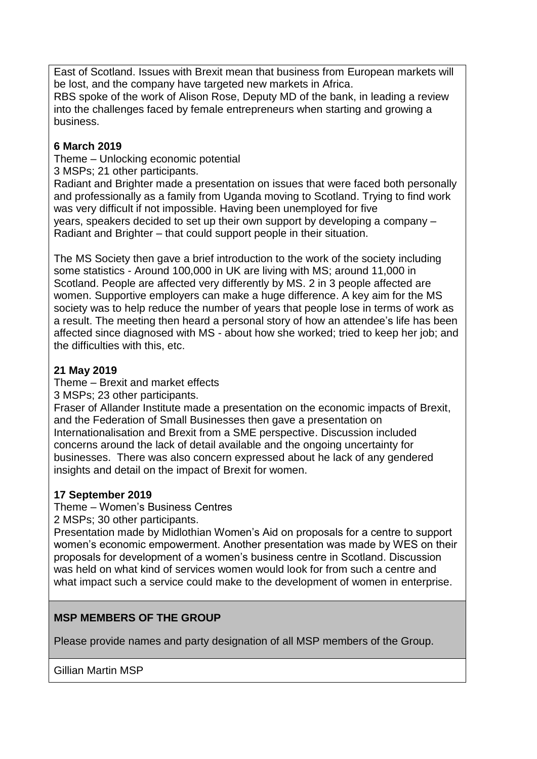East of Scotland. Issues with Brexit mean that business from European markets will be lost, and the company have targeted new markets in Africa.

RBS spoke of the work of Alison Rose, Deputy MD of the bank, in leading a review into the challenges faced by female entrepreneurs when starting and growing a business.

# **6 March 2019**

Theme – Unlocking economic potential

3 MSPs; 21 other participants.

Radiant and Brighter made a presentation on issues that were faced both personally and professionally as a family from Uganda moving to Scotland. Trying to find work was very difficult if not impossible. Having been unemployed for five years, speakers decided to set up their own support by developing a company – Radiant and Brighter – that could support people in their situation.

The MS Society then gave a brief introduction to the work of the society including some statistics - Around 100,000 in UK are living with MS; around 11,000 in Scotland. People are affected very differently by MS. 2 in 3 people affected are women. Supportive employers can make a huge difference. A key aim for the MS society was to help reduce the number of years that people lose in terms of work as a result. The meeting then heard a personal story of how an attendee's life has been affected since diagnosed with MS - about how she worked; tried to keep her job; and the difficulties with this, etc.

# **21 May 2019**

Theme – Brexit and market effects

3 MSPs; 23 other participants.

Fraser of Allander Institute made a presentation on the economic impacts of Brexit, and the Federation of Small Businesses then gave a presentation on Internationalisation and Brexit from a SME perspective. Discussion included concerns around the lack of detail available and the ongoing uncertainty for businesses. There was also concern expressed about he lack of any gendered insights and detail on the impact of Brexit for women.

### **17 September 2019**

Theme – Women's Business Centres

2 MSPs; 30 other participants.

Presentation made by Midlothian Women's Aid on proposals for a centre to support women's economic empowerment. Another presentation was made by WES on their proposals for development of a women's business centre in Scotland. Discussion was held on what kind of services women would look for from such a centre and what impact such a service could make to the development of women in enterprise.

# **MSP MEMBERS OF THE GROUP**

Please provide names and party designation of all MSP members of the Group.

Gillian Martin MSP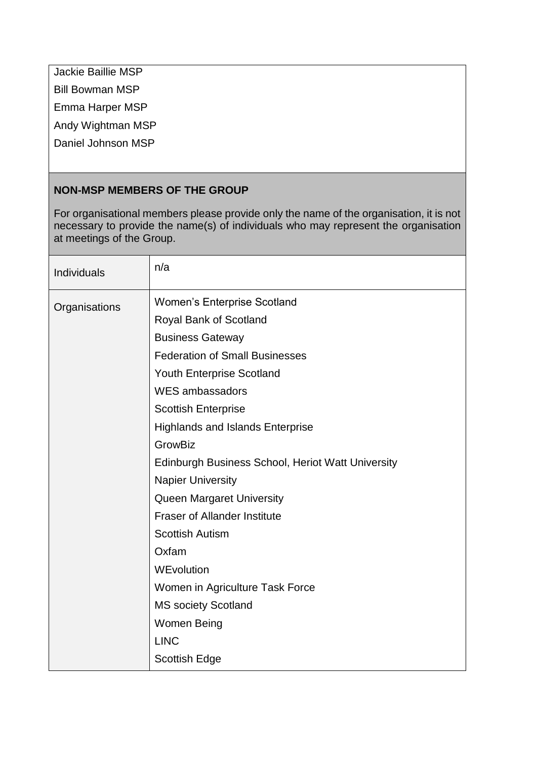Jackie Baillie MSP

Bill Bowman MSP

Emma Harper MSP

Andy Wightman MSP

Daniel Johnson MSP

# **NON-MSP MEMBERS OF THE GROUP**

For organisational members please provide only the name of the organisation, it is not necessary to provide the name(s) of individuals who may represent the organisation at meetings of the Group.

| <b>Individuals</b> | n/a                                               |
|--------------------|---------------------------------------------------|
| Organisations      | <b>Women's Enterprise Scotland</b>                |
|                    | Royal Bank of Scotland                            |
|                    | <b>Business Gateway</b>                           |
|                    | <b>Federation of Small Businesses</b>             |
|                    | Youth Enterprise Scotland                         |
|                    | <b>WES ambassadors</b>                            |
|                    | <b>Scottish Enterprise</b>                        |
|                    | <b>Highlands and Islands Enterprise</b>           |
|                    | GrowBiz                                           |
|                    | Edinburgh Business School, Heriot Watt University |
|                    | <b>Napier University</b>                          |
|                    | Queen Margaret University                         |
|                    | <b>Fraser of Allander Institute</b>               |
|                    | <b>Scottish Autism</b>                            |
|                    | Oxfam                                             |
|                    | WEvolution                                        |
|                    | Women in Agriculture Task Force                   |
|                    | <b>MS society Scotland</b>                        |
|                    | Women Being                                       |
|                    | <b>LINC</b>                                       |
|                    | <b>Scottish Edge</b>                              |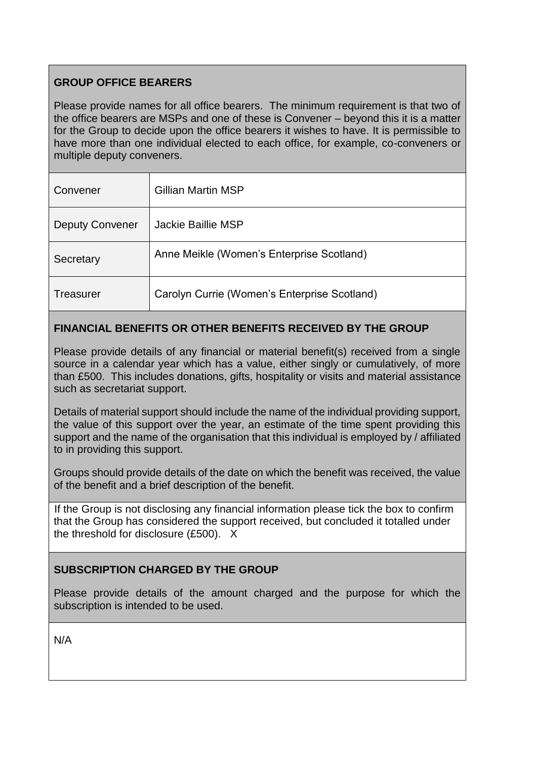# **GROUP OFFICE BEARERS**

Please provide names for all office bearers. The minimum requirement is that two of the office bearers are MSPs and one of these is Convener – beyond this it is a matter for the Group to decide upon the office bearers it wishes to have. It is permissible to have more than one individual elected to each office, for example, co-conveners or multiple deputy conveners.

| Convener               | <b>Gillian Martin MSP</b>                    |
|------------------------|----------------------------------------------|
| <b>Deputy Convener</b> | Jackie Baillie MSP                           |
| Secretary              | Anne Meikle (Women's Enterprise Scotland)    |
| Treasurer              | Carolyn Currie (Women's Enterprise Scotland) |

# **FINANCIAL BENEFITS OR OTHER BENEFITS RECEIVED BY THE GROUP**

Please provide details of any financial or material benefit(s) received from a single source in a calendar year which has a value, either singly or cumulatively, of more than £500. This includes donations, gifts, hospitality or visits and material assistance such as secretariat support.

Details of material support should include the name of the individual providing support, the value of this support over the year, an estimate of the time spent providing this support and the name of the organisation that this individual is employed by / affiliated to in providing this support.

Groups should provide details of the date on which the benefit was received, the value of the benefit and a brief description of the benefit.

If the Group is not disclosing any financial information please tick the box to confirm that the Group has considered the support received, but concluded it totalled under the threshold for disclosure (£500). X

# **SUBSCRIPTION CHARGED BY THE GROUP**

Please provide details of the amount charged and the purpose for which the subscription is intended to be used.

N/A